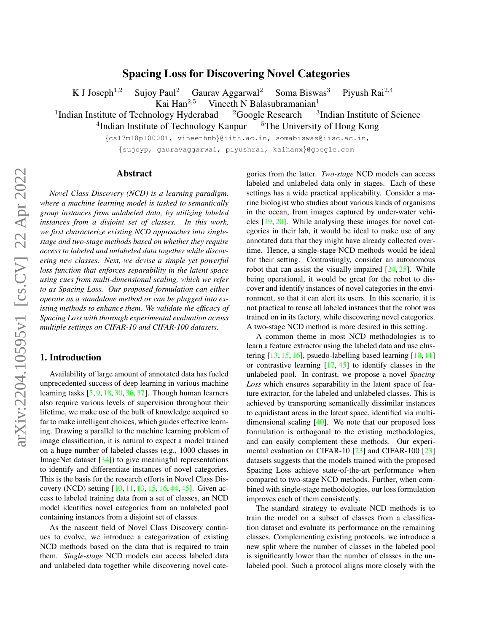# Spacing Loss for Discovering Novel Categories

<span id="page-0-0"></span>K J Joseph<sup>1,2</sup> Sujoy Paul<sup>2</sup> Gaurav Aggarwal<sup>2</sup> Soma Biswas<sup>3</sup> Piyush Rai<sup>2,4</sup>

Kai Han<sup>2,5</sup> Vineeth N Balasubramanian<sup>1</sup>

<sup>1</sup>Indian Institute of Technology Hyderabad  $2$ Google Research  $3$ <sup>3</sup>Indian Institute of Science

<sup>4</sup>Indian Institute of Technology Kanpur <sup>5</sup>The University of Hong Kong

{cs17m18p100001, vineethnb}@iith.ac.in, somabiswas@iisc.ac.in,

{sujoyp, gauravaggarwal, piyushrai, kaihanx}@google.com

# Abstract

*Novel Class Discovery (NCD) is a learning paradigm, where a machine learning model is tasked to semantically group instances from unlabeled data, by utilizing labeled instances from a disjoint set of classes. In this work, we first characterize existing NCD approaches into singlestage and two-stage methods based on whether they require access to labeled and unlabeled data together while discovering new classes. Next, we devise a simple yet powerful loss function that enforces separability in the latent space using cues from multi-dimensional scaling, which we refer to as Spacing Loss. Our proposed formulation can either operate as a standalone method or can be plugged into existing methods to enhance them. We validate the efficacy of Spacing Loss with thorough experimental evaluation across multiple settings on CIFAR-10 and CIFAR-100 datasets.*

# 1. Introduction

Availability of large amount of annotated data has fueled unprecedented success of deep learning in various machine learning tasks [\[5,](#page-4-0) [9,](#page-4-1) [18,](#page-4-2) [30,](#page-4-3) [36,](#page-5-0) [37\]](#page-5-1). Though human learners also require various levels of supervision throughout their lifetime, we make use of the bulk of knowledge acquired so far to make intelligent choices, which guides effective learning. Drawing a parallel to the machine learning problem of image classification, it is natural to expect a model trained on a huge number of labeled classes (e.g., 1000 classes in ImageNet dataset [\[34\]](#page-5-2)) to give meaningful representations to identify and differentiate instances of novel categories. This is the basis for the research efforts in Novel Class Discovery (NCD) setting [\[10,](#page-4-4) [11,](#page-4-5) [13,](#page-4-6) [15,](#page-4-7) [16,](#page-4-8) [44,](#page-5-3) [45\]](#page-5-4). Given access to labeled training data from a set of classes, an NCD model identifies novel categories from an unlabeled pool containing instances from a disjoint set of classes.

As the nascent field of Novel Class Discovery continues to evolve, we introduce a categorization of existing NCD methods based on the data that is required to train them. *Single-stage* NCD models can access labeled data and unlabeled data together while discovering novel categories from the latter. *Two-stage* NCD models can access labeled and unlabeled data only in stages. Each of these settings has a wide practical applicability. Consider a marine biologist who studies about various kinds of organisms in the ocean, from images captured by under-water vehicles [\[19,](#page-4-9) [20\]](#page-4-10). While analysing these images for novel categories in their lab, it would be ideal to make use of any annotated data that they might have already collected overtime. Hence, a single-stage NCD methods would be ideal for their setting. Contrastingly, consider an autonomous robot that can assist the visually impaired  $[24, 25]$  $[24, 25]$  $[24, 25]$ . While being operational, it would be great for the robot to discover and identify instances of novel categories in the environment, so that it can alert its users. In this scenario, it is not practical to reuse all labeled instances that the robot was trained on in its factory, while discovering novel categories. A two-stage NCD method is more desired in this setting.

A common theme in most NCD methodologies is to learn a feature extractor using the labeled data and use clustering  $[13, 15, 16]$  $[13, 15, 16]$  $[13, 15, 16]$  $[13, 15, 16]$  $[13, 15, 16]$ , psuedo-labelling based learning  $[10, 11]$  $[10, 11]$  $[10, 11]$ or contrastive learning  $[17, 45]$  $[17, 45]$  $[17, 45]$  to identify classes in the unlabeled pool. In contrast, we propose a novel *Spacing Loss* which ensures separability in the latent space of feature extractor, for the labeled and unlabeled classes. This is achieved by transporting semantically dissimilar instances to equidistant areas in the latent space, identified via multidimensional scaling [\[40\]](#page-5-5). We note that our proposed loss formulation is orthogonal to the existing methodologies, and can easily complement these methods. Our experimental evaluation on CIFAR-10 [\[23\]](#page-4-14) and CIFAR-100 [\[23\]](#page-4-14) datasets suggests that the models trained with the proposed Spacing Loss achieve state-of-the-art performance when compared to two-stage NCD methods. Further, when combined with single-stage methodologies, our loss formulation improves each of them consistently.

The standard strategy to evaluate NCD methods is to train the model on a subset of classes from a classification dataset and evaluate its performance on the remaining classes. Complementing existing protocols, we introduce a new split where the number of classes in the labeled pool is significantly lower than the number of classes in the unlabeled pool. Such a protocol aligns more closely with the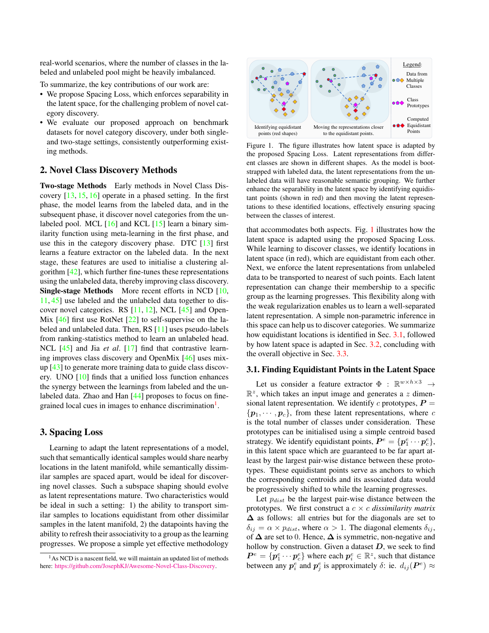<span id="page-1-3"></span>real-world scenarios, where the number of classes in the labeled and unlabeled pool might be heavily imbalanced.

To summarize, the key contributions of our work are:

- We propose Spacing Loss, which enforces separability in the latent space, for the challenging problem of novel category discovery.
- We evaluate our proposed approach on benchmark datasets for novel category discovery, under both singleand two-stage settings, consistently outperforming existing methods.

#### 2. Novel Class Discovery Methods

Two-stage Methods Early methods in Novel Class Discovery [\[13,](#page-4-6) [15,](#page-4-7) [16\]](#page-4-8) operate in a phased setting. In the first phase, the model learns from the labeled data, and in the subsequent phase, it discover novel categories from the unlabeled pool. MCL [\[16\]](#page-4-8) and KCL [\[15\]](#page-4-7) learn a binary similarity function using meta-learning in the first phase, and use this in the category discovery phase. DTC  $[13]$  first learns a feature extractor on the labeled data. In the next stage, these features are used to initialise a clustering algorithm [\[42\]](#page-5-6), which further fine-tunes these representations using the unlabeled data, thereby improving class discovery. Single-stage Methods More recent efforts in NCD [\[10,](#page-4-4) [11,](#page-4-5) [45\]](#page-5-4) use labeled and the unlabeled data together to discover novel categories. RS  $[11, 12]$  $[11, 12]$  $[11, 12]$ , NCL  $[45]$  and Open-Mix [\[46\]](#page-5-7) first use RotNet [\[22\]](#page-4-16) to self-supervise on the labeled and unlabeled data. Then, RS [\[11\]](#page-4-5) uses pseudo-labels from ranking-statistics method to learn an unlabeled head. NCL [\[45\]](#page-5-4) and Jia *et al*. [\[17\]](#page-4-13) find that contrastive learning improves class discovery and OpenMix [\[46\]](#page-5-7) uses mixup [\[43\]](#page-5-8) to generate more training data to guide class discovery. UNO [\[10\]](#page-4-4) finds that a unified loss function enhances the synergy between the learnings from labeled and the un-labeled data. Zhao and Han [\[44\]](#page-5-3) proposes to focus on fine-grained local cues in images to enhance discrimination<sup>[1](#page-1-0)</sup>.

# 3. Spacing Loss

Learning to adapt the latent representations of a model, such that semantically identical samples would share nearby locations in the latent manifold, while semantically dissimilar samples are spaced apart, would be ideal for discovering novel classes. Such a subspace shaping should evolve as latent representations mature. Two characteristics would be ideal in such a setting: 1) the ability to transport similar samples to locations equidistant from other dissimilar samples in the latent manifold, 2) the datapoints having the ability to refresh their associativity to a group as the learning progresses. We propose a simple yet effective methodology

<span id="page-1-1"></span>

Figure 1. The figure illustrates how latent space is adapted by the proposed Spacing Loss. Latent representations from different classes are shown in different shapes. As the model is bootstrapped with labeled data, the latent representations from the unlabeled data will have reasonable semantic grouping. We further enhance the separability in the latent space by identifying equidistant points (shown in red) and then moving the latent representations to these identified locations, effectively ensuring spacing between the classes of interest.

that accommodates both aspects. Fig. [1](#page-1-1) illustrates how the latent space is adapted using the proposed Spacing Loss. While learning to discover classes, we identify locations in latent space (in red), which are equidistant from each other. Next, we enforce the latent representations from unlabeled data to be transported to nearest of such points. Each latent representation can change their membership to a specific group as the learning progresses. This flexibility along with the weak regularization enables us to learn a well-separated latent representation. A simple non-parametric inference in this space can help us to discover categories. We summarize how equidistant locations is identified in Sec. [3.1,](#page-1-2) followed by how latent space is adapted in Sec. [3.2,](#page-2-0) concluding with the overall objective in Sec. [3.3.](#page-2-1)

# <span id="page-1-2"></span>3.1. Finding Equidistant Points in the Latent Space

Let us consider a feature extractor  $\Phi : \mathbb{R}^{w \times h \times 3} \rightarrow$  $\mathbb{R}^z$ , which takes an input image and generates a z dimensional latent representation. We identify  $c$  prototypes,  $P =$  $\{p_1, \dots, p_c\}$ , from these latent representations, where c is the total number of classes under consideration. These prototypes can be initialised using a simple centroid based strategy. We identify equidistant points,  $P^e = \{p_1^e \cdots p_c^e\}$ , in this latent space which are guaranteed to be far apart atleast by the largest pair-wise distance between these prototypes. These equidistant points serve as anchors to which the corresponding centroids and its associated data would be progressively shifted to while the learning progresses.

Let  $p_{dist}$  be the largest pair-wise distance between the prototypes. We first construct a  $c \times c$  *dissimilarity matrix* ∆ as follows: all entries but for the diagonals are set to  $\delta_{ij} = \alpha \times p_{dist}$ , where  $\alpha > 1$ . The diagonal elements  $\delta_{ij}$ , of  $\Delta$  are set to 0. Hence,  $\Delta$  is symmetric, non-negative and hollow by construction. Given a dataset  $D$ , we seek to find  $P^e = \{p_1^e \cdots p_c^e\}$  where each  $p_i^e \in \mathbb{R}^z$ , such that distance between any  $p_i^e$  and  $p_j^e$  is approximately  $\delta$ : ie.  $d_{ij}(\boldsymbol{P}^e) \approx$ 

<span id="page-1-0"></span><sup>&</sup>lt;sup>1</sup>As NCD is a nascent field, we will maintain an updated list of methods here: [https://github.com/JosephKJ/Awesome-Novel-Class-Discovery.](https://github.com/JosephKJ/Awesome-Novel-Class-Discovery)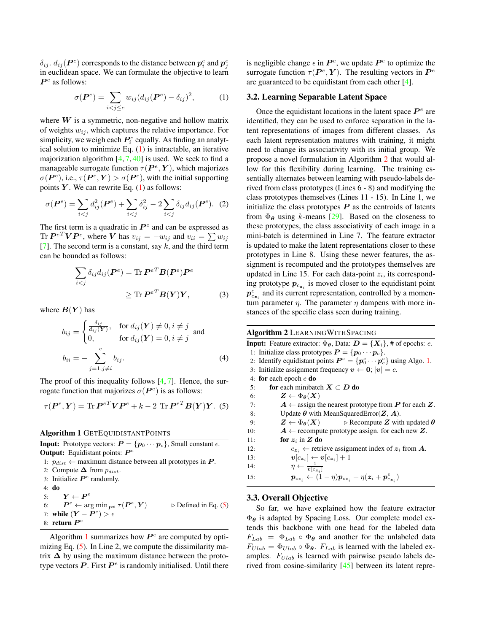<span id="page-2-6"></span> $\delta_{ij}$ .  $d_{ij}(\boldsymbol{P}^e)$  corresponds to the distance between  $\boldsymbol{p}_i^e$  and  $\boldsymbol{p}_j^e$ in euclidean space. We can formulate the objective to learn  $P<sup>e</sup>$  as follows:

<span id="page-2-2"></span>
$$
\sigma(\boldsymbol{P}^e) = \sum_{i < j \leq c} w_{ij} (d_{ij}(\boldsymbol{P}^e) - \delta_{ij})^2,\tag{1}
$$

where  $W$  is a symmetric, non-negative and hollow matrix of weights  $w_{ij}$ , which captures the relative importance. For simplicity, we weigh each  $P_i^e$  equally. As finding an analytical solution to minimize Eq.  $(1)$  is intractable, an iterative majorization algorithm  $[4, 7, 40]$  $[4, 7, 40]$  $[4, 7, 40]$  $[4, 7, 40]$  $[4, 7, 40]$  is used. We seek to find a manageable surrogate function  $\tau(P^e, Y)$ , which majorizes  $\sigma(\boldsymbol{P}^e)$ , i.e.,  $\tau(\boldsymbol{P}^e, \boldsymbol{Y}) > \sigma(\boldsymbol{P}^e)$ , with the initial supporting points  $Y$ . We can rewrite Eq. [\(1\)](#page-2-2) as follows:

$$
\sigma(\boldsymbol{P}^e) = \sum_{i < j} d_{ij}^2(\boldsymbol{P}^e) + \sum_{i < j} \delta_{ij}^2 - 2 \sum_{i < j} \delta_{ij} d_{ij}(\boldsymbol{P}^e). \tag{2}
$$

The first term is a quadratic in  $P^e$  and can be expressed as Tr  $P^{eT}VP^e$ , where V has  $v_{ij} = -w_{ij}$  and  $v_{ii} = \sum w_{ij}$ [\[7\]](#page-4-18). The second term is a constant, say  $k$ , and the third term can be bounded as follows:

$$
\sum_{i < j} \delta_{ij} d_{ij}(\boldsymbol{P}^e) = \text{Tr } \boldsymbol{P}^{eT} \boldsymbol{B}(\boldsymbol{P}^e) \boldsymbol{P}^e
$$
\n
$$
\geq \text{Tr } \boldsymbol{P}^{eT} \boldsymbol{B}(\boldsymbol{Y}) \boldsymbol{Y}, \tag{3}
$$

where  $B(Y)$  has

$$
b_{ij} = \begin{cases} \frac{\delta_{ij}}{d_{ij}(\mathbf{Y})}, & \text{for } d_{ij}(\mathbf{Y}) \neq 0, i \neq j \\ 0, & \text{for } d_{ij}(\mathbf{Y}) = 0, i \neq j \end{cases} \text{ and}
$$
  

$$
b_{ii} = -\sum_{j=1, j \neq i}^{c} b_{ij}.
$$
 (4)

The proof of this inequality follows  $[4, 7]$  $[4, 7]$  $[4, 7]$ . Hence, the surrogate function that majorizes  $\sigma(P^e)$  is as follows:

<span id="page-2-3"></span>
$$
\tau(\boldsymbol{P}^e, \boldsymbol{Y}) = \text{Tr}\,\boldsymbol{P}^{eT}\boldsymbol{V}\boldsymbol{P}^e + k - 2 \text{ Tr}\,\boldsymbol{P}^{eT}\boldsymbol{B}(\boldsymbol{Y})\boldsymbol{Y}. \tag{5}
$$

Algorithm 1 GETEQUIDISTANTPOINTS

<span id="page-2-4"></span>**Input:** Prototype vectors:  $P = \{p_0 \cdots p_c\}$ , Small constant  $\epsilon$ . **Output:** Equidistant points:  $P^e$ 1:  $p_{dist} \leftarrow$  maximum distance between all prototypes in  $P$ .

- 2: Compute  $\Delta$  from  $p_{dist}$ .
- 3: Initialize  $P^e$  randomly.
- 4: do
- 5:  $\boldsymbol{Y} \leftarrow \boldsymbol{P}^e$

6:  $\boldsymbol{P}^e \leftarrow \arg\min_{\boldsymbol{P}^e} \tau(\boldsymbol{P}^e)$  $\triangleright$  Defined in Eq. [\(5\)](#page-2-3) 7: while  $(Y - P^e) > \epsilon$ 8: return  $P^e$ 

Algorithm [1](#page-2-4) summarizes how  $P<sup>e</sup>$  are computed by optimizing Eq. [\(5\)](#page-2-3). In Line 2, we compute the dissimilarity matrix  $\Delta$  by using the maximum distance between the prototype vectors  $P$ . First  $P^e$  is randomly initialised. Until there

is negligible change  $\epsilon$  in  $\mathbf{P}^e$ , we update  $\mathbf{P}^e$  to optimize the surrogate function  $\tau(P^e, Y)$ . The resulting vectors in  $P^e$ are guaranteed to be equidistant from each other [\[4\]](#page-4-17).

#### <span id="page-2-0"></span>3.2. Learning Separable Latent Space

Once the equidistant locations in the latent space  $P^e$  are identified, they can be used to enforce separation in the latent representations of images from different classes. As each latent representation matures with training, it might need to change its associativity with its initial group. We propose a novel formulation in Algorithm [2](#page-2-5) that would allow for this flexibility during learning. The training essentially alternates between learning with pseudo-labels derived from class prototypes (Lines 6 - 8) and modifying the class prototypes themselves (Lines 11 - 15). In Line 1, we initialize the class prototypes  $P$  as the centroids of latents from  $\Phi_{\theta}$  using k-means [\[29\]](#page-4-19). Based on the closeness to these prototypes, the class associativity of each image in a mini-batch is determined in Line 7. The feature extractor is updated to make the latent representations closer to these prototypes in Line 8. Using these newer features, the assignment is recomputed and the prototypes themselves are updated in Line 15. For each data-point  $z_i$ , its corresponding prototype  $p_{c_{\mathbf{z}_i}}$  is moved closer to the equidistant point  $p_{c_{\mathbf{z}_i}}^e$  and its current representation, controlled by a momentum parameter  $\eta$ . The parameter  $\eta$  dampens with more instances of the specific class seen during training.

Algorithm 2 LEARNINGWITHSPACING

<span id="page-2-5"></span>**Input:** Feature extractor:  $\Phi_{\theta}$ , Data:  $D = \{X_i\}$ , # of epochs: *e*. 1: Initialize class prototypes  $P = \{p_0 \cdots p_c\}$ . 2: Identify equidistant points  $\boldsymbol{P}^e = \{ \boldsymbol{p}_0^e \cdots \boldsymbol{p}_c^e \}$  using Algo. [1.](#page-2-4) 3: Initialize assignment frequency  $v \leftarrow 0$ ;  $|v| = c$ . 4: for each epoch e do 5: for each minibatch  $X \subset D$  do 6:  $Z \leftarrow \Phi_{\theta}(X)$ 7:  $A \leftarrow$  assign the nearest prototype from  $P$  for each  $Z$ . 8: Update  $\theta$  with MeanSquaredError( $\mathbf{Z}, \mathbf{A}$ ). 9:  $Z \leftarrow \Phi_{\theta}(X)$   $\triangleright$  Recompute Z with updated  $\theta$ 10:  $A \leftarrow$  recompute prototype assign. for each new Z. 11: for  $z_i$  in  $Z$  do 12:  $c_{\mathbf{z}_i} \leftarrow$  retrieve assignment index of  $\mathbf{z}_i$  from A. 13:  $\boldsymbol{v}[c_{\boldsymbol{z}_i}] \leftarrow \boldsymbol{v}[c_{\boldsymbol{z}_i}] + 1$ 14:  $\eta \leftarrow \frac{1}{v[c_{\mathbf{z}_i}]}$ <br>
15:  $\mathbf{p}_{c_{\mathbf{z}_i}} \leftarrow (1 - \eta) \mathbf{p}_{c_{\mathbf{z}_i}} + \eta(\mathbf{z}_i + \mathbf{p}_{c_{\mathbf{z}_i}}^e)$ 

#### <span id="page-2-1"></span>3.3. Overall Objective

So far, we have explained how the feature extractor  $\Phi_{\theta}$  is adapted by Spacing Loss. Our complete model extends this backbone with one head for the labeled data  $F_{Lab} = \Phi_{Lab} \circ \Phi_{\theta}$  and another for the unlabeled data  $F_{U lab} = \Phi_{U lab} \circ \Phi_{\theta}$ .  $F_{Lab}$  is learned with the labeled examples.  $F_{U lab}$  is learned with pairwise pseudo labels derived from cosine-similarity [\[45\]](#page-5-4) between its latent repre-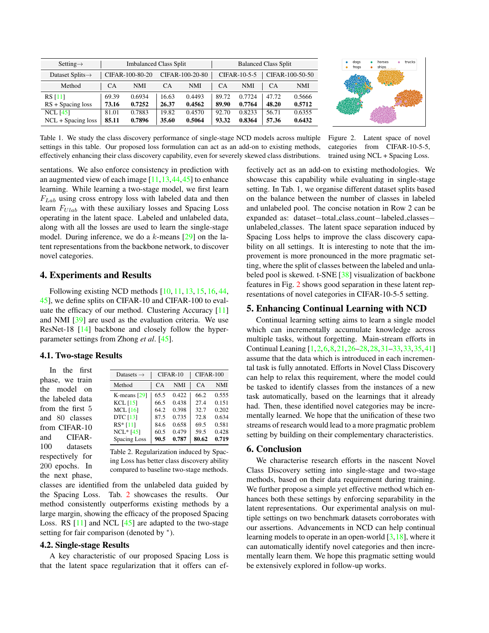<span id="page-3-2"></span><span id="page-3-1"></span>

| Setting $\rightarrow$        | <b>Imbalanced Class Split</b> |            |                 |            | <b>Balanced Class Split</b> |            |                 |            |
|------------------------------|-------------------------------|------------|-----------------|------------|-----------------------------|------------|-----------------|------------|
| Dataset Splits $\rightarrow$ | CIFAR-100-80-20               |            | CIFAR-100-20-80 |            | $CIFAR-10-5-5$              |            | CIFAR-100-50-50 |            |
| Method                       | CA                            | <b>NMI</b> | CA              | <b>NMI</b> | CA                          | <b>NMI</b> | CA              | <b>NMI</b> |
| <b>RS</b> [11]               | 69.39                         | 0.6934     | 16.63           | 0.4493     | 89.72                       | 0.7724     | 47.72           | 0.5666     |
| $RS + Spacing loss$          | 73.16                         | 0.7252     | 26.37           | 0.4562     | 89.90                       | 0.7764     | 48.20           | 0.5712     |
| $NCL$ [45]                   | 81.01                         | 0.7883     | 19.82           | 0.4570     | 92.70                       | 0.8233     | 56.71           | 0.6355     |
| $NCL + Spacing loss$         | 85.11                         | 0.7896     | 35.60           | 0.5064     | 93.32                       | 0.8364     | 57.36           | 0.6432     |



Table 1. We study the class discovery performance of single-stage NCD models across multiple settings in this table. Our proposed loss formulation can act as an add-on to existing methods, effectively enhancing their class discovery capability, even for severely skewed class distributions. Figure 2. Latent space of novel categories from CIFAR-10-5-5, trained using NCL + Spacing Loss.

sentations. We also enforce consistency in prediction with an augmented view of each image  $[11, 13, 44, 45]$  $[11, 13, 44, 45]$  $[11, 13, 44, 45]$  $[11, 13, 44, 45]$  $[11, 13, 44, 45]$  $[11, 13, 44, 45]$  to enhance learning. While learning a two-stage model, we first learn  $F_{Lab}$  using cross entropy loss with labeled data and then learn  $F_{U lab}$  with these auxiliary losses and Spacing Loss operating in the latent space. Labeled and unlabeled data, along with all the losses are used to learn the single-stage model. During inference, we do a  $k$ -means  $[29]$  on the latent representations from the backbone network, to discover novel categories.

### 4. Experiments and Results

Following existing NCD methods [\[10,](#page-4-4) [11,](#page-4-5) [13,](#page-4-6) [15,](#page-4-7) [16,](#page-4-8) [44,](#page-5-3) [45\]](#page-5-4), we define splits on CIFAR-10 and CIFAR-100 to evaluate the efficacy of our method. Clustering Accuracy [\[11\]](#page-4-5) and NMI [\[39\]](#page-5-9) are used as the evaluation criteria. We use ResNet-18 [\[14\]](#page-4-20) backbone and closely follow the hyperparameter settings from Zhong *et al*. [\[45\]](#page-5-4).

#### 4.1. Two-stage Results

In the first phase, we train the model on the labeled data from the first 5 and 80 classes from CIFAR-10 and CIFAR-100 datasets respectively for 200 epochs. In the next phase,

<span id="page-3-0"></span>

| Datasets $\rightarrow$ |      | CIFAR-10   | CIFAR-100 |            |  |
|------------------------|------|------------|-----------|------------|--|
| Method                 | CA   | <b>NMI</b> | CA        | <b>NMI</b> |  |
| K-means $[29]$         | 65.5 | 0.422      | 66.2      | 0.555      |  |
| $KCL$ [15]             | 66.5 | 0.438      | 27.4      | 0.151      |  |
| MCL $[16]$             | 64.2 | 0.398      | 32.7      | 0.202      |  |
| <b>DTC</b> [13]        | 87.5 | 0.735      | 72.8      | 0.634      |  |
| RS* [11]               | 84.6 | 0.658      | 69.5      | 0.581      |  |
| $NCL*$ [45]            | 60.5 | 0.479      | 59.5      | 0.428      |  |
| <b>Spacing Loss</b>    | 90.5 | 0.787      | 80.62     | 0.719      |  |
|                        |      |            |           |            |  |

Table 2. Regularization induced by Spacing Loss has better class discovery ability compared to baseline two-stage methods.

classes are identified from the unlabeled data guided by the Spacing Loss. Tab. [2](#page-3-0) showcases the results. Our method consistently outperforms existing methods by a large margin, showing the efficacy of the proposed Spacing Loss. RS  $[11]$  and NCL  $[45]$  are adapted to the two-stage setting for fair comparison (denoted by \*).

#### 4.2. Single-stage Results

A key characteristic of our proposed Spacing Loss is that the latent space regularization that it offers can effectively act as an add-on to existing methodologies. We showcase this capability while evaluating in single-stage setting. In Tab. 1, we organise different dataset splits based on the balance between the number of classes in labeled and unlabeled pool. The concise notation in Row 2 can be expanded as: dataset−total class count−labeled classes− unlabeled classes. The latent space separation induced by Spacing Loss helps to improve the class discovery capability on all settings. It is interesting to note that the improvement is more pronounced in the more pragmatic setting, where the split of classes between the labeled and unlabeled pool is skewed. t-SNE [\[38\]](#page-5-10) visualization of backbone features in Fig. [2](#page-3-1) shows good separation in these latent representations of novel categories in CIFAR-10-5-5 setting.

# 5. Enhancing Continual Learning with NCD

Continual learning setting aims to learn a single model which can incrementally accumulate knowledge across multiple tasks, without forgetting. Main-stream efforts in Continual Leaning [\[1,](#page-4-21)[2,](#page-4-22)[6,](#page-4-23)[8,](#page-4-24)[21,](#page-4-25)[26](#page-4-26)[–28,28,](#page-4-27)[31–](#page-4-28)[33,33,](#page-4-29)[35,](#page-5-11)[41\]](#page-5-12) assume that the data which is introduced in each incremental task is fully annotated. Efforts in Novel Class Discovery can help to relax this requirement, where the model could be tasked to identify classes from the instances of a new task automatically, based on the learnings that it already had. Then, these identified novel categories may be incrementally learned. We hope that the unification of these two streams of research would lead to a more pragmatic problem setting by building on their complementary characteristics.

# 6. Conclusion

We characterise research efforts in the nascent Novel Class Discovery setting into single-stage and two-stage methods, based on their data requirement during training. We further propose a simple yet effective method which enhances both these settings by enforcing separability in the latent representations. Our experimental analysis on multiple settings on two benchmark datasets corroborates with our assertions. Advancements in NCD can help continual learning models to operate in an open-world  $[3,18]$  $[3,18]$ , where it can automatically identify novel categories and then incrementally learn them. We hope this pragmatic setting would be extensively explored in follow-up works.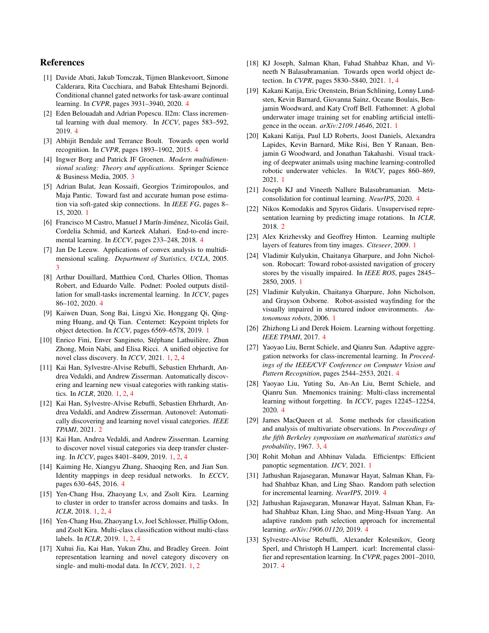# References

- <span id="page-4-21"></span>[1] Davide Abati, Jakub Tomczak, Tijmen Blankevoort, Simone Calderara, Rita Cucchiara, and Babak Ehteshami Bejnordi. Conditional channel gated networks for task-aware continual learning. In *CVPR*, pages 3931–3940, 2020. [4](#page-3-2)
- <span id="page-4-22"></span>[2] Eden Belouadah and Adrian Popescu. Il2m: Class incremental learning with dual memory. In *ICCV*, pages 583–592, 2019. [4](#page-3-2)
- <span id="page-4-30"></span>[3] Abhijit Bendale and Terrance Boult. Towards open world recognition. In *CVPR*, pages 1893–1902, 2015. [4](#page-3-2)
- <span id="page-4-17"></span>[4] Ingwer Borg and Patrick JF Groenen. *Modern multidimensional scaling: Theory and applications*. Springer Science & Business Media, 2005. [3](#page-2-6)
- <span id="page-4-0"></span>[5] Adrian Bulat, Jean Kossaifi, Georgios Tzimiropoulos, and Maja Pantic. Toward fast and accurate human pose estimation via soft-gated skip connections. In *IEEE FG*, pages 8– 15, 2020. [1](#page-0-0)
- <span id="page-4-23"></span>[6] Francisco M Castro, Manuel J Marín-Jiménez, Nicolás Guil, Cordelia Schmid, and Karteek Alahari. End-to-end incremental learning. In *ECCV*, pages 233–248, 2018. [4](#page-3-2)
- <span id="page-4-18"></span>[7] Jan De Leeuw. Applications of convex analysis to multidimensional scaling. *Department of Statistics, UCLA*, 2005. [3](#page-2-6)
- <span id="page-4-24"></span>[8] Arthur Douillard, Matthieu Cord, Charles Ollion, Thomas Robert, and Eduardo Valle. Podnet: Pooled outputs distillation for small-tasks incremental learning. In *ICCV*, pages 86–102, 2020. [4](#page-3-2)
- <span id="page-4-1"></span>[9] Kaiwen Duan, Song Bai, Lingxi Xie, Honggang Qi, Qingming Huang, and Qi Tian. Centernet: Keypoint triplets for object detection. In *ICCV*, pages 6569–6578, 2019. [1](#page-0-0)
- <span id="page-4-4"></span>[10] Enrico Fini, Enver Sangineto, Stéphane Lathuilière, Zhun Zhong, Moin Nabi, and Elisa Ricci. A unified objective for novel class discovery. In *ICCV*, 2021. [1,](#page-0-0) [2,](#page-1-3) [4](#page-3-2)
- <span id="page-4-5"></span>[11] Kai Han, Sylvestre-Alvise Rebuffi, Sebastien Ehrhardt, Andrea Vedaldi, and Andrew Zisserman. Automatically discovering and learning new visual categories with ranking statistics. In *ICLR*, 2020. [1,](#page-0-0) [2,](#page-1-3) [4](#page-3-2)
- <span id="page-4-15"></span>[12] Kai Han, Sylvestre-Alvise Rebuffi, Sebastien Ehrhardt, Andrea Vedaldi, and Andrew Zisserman. Autonovel: Automatically discovering and learning novel visual categories. *IEEE TPAMI*, 2021. [2](#page-1-3)
- <span id="page-4-6"></span>[13] Kai Han, Andrea Vedaldi, and Andrew Zisserman. Learning to discover novel visual categories via deep transfer clustering. In *ICCV*, pages 8401–8409, 2019. [1,](#page-0-0) [2,](#page-1-3) [4](#page-3-2)
- <span id="page-4-20"></span>[14] Kaiming He, Xiangyu Zhang, Shaoqing Ren, and Jian Sun. Identity mappings in deep residual networks. In *ECCV*, pages 630–645, 2016. [4](#page-3-2)
- <span id="page-4-7"></span>[15] Yen-Chang Hsu, Zhaoyang Lv, and Zsolt Kira. Learning to cluster in order to transfer across domains and tasks. In *ICLR*, 2018. [1,](#page-0-0) [2,](#page-1-3) [4](#page-3-2)
- <span id="page-4-8"></span>[16] Yen-Chang Hsu, Zhaoyang Lv, Joel Schlosser, Phillip Odom, and Zsolt Kira. Multi-class classification without multi-class labels. In *ICLR*, 2019. [1,](#page-0-0) [2,](#page-1-3) [4](#page-3-2)
- <span id="page-4-13"></span>[17] Xuhui Jia, Kai Han, Yukun Zhu, and Bradley Green. Joint representation learning and novel category discovery on single- and multi-modal data. In *ICCV*, 2021. [1,](#page-0-0) [2](#page-1-3)
- <span id="page-4-2"></span>[18] KJ Joseph, Salman Khan, Fahad Shahbaz Khan, and Vineeth N Balasubramanian. Towards open world object detection. In *CVPR*, pages 5830–5840, 2021. [1,](#page-0-0) [4](#page-3-2)
- <span id="page-4-9"></span>[19] Kakani Katija, Eric Orenstein, Brian Schlining, Lonny Lundsten, Kevin Barnard, Giovanna Sainz, Oceane Boulais, Benjamin Woodward, and Katy Croff Bell. Fathomnet: A global underwater image training set for enabling artificial intelligence in the ocean. *arXiv:2109.14646*, 2021. [1](#page-0-0)
- <span id="page-4-10"></span>[20] Kakani Katija, Paul LD Roberts, Joost Daniels, Alexandra Lapides, Kevin Barnard, Mike Risi, Ben Y Ranaan, Benjamin G Woodward, and Jonathan Takahashi. Visual tracking of deepwater animals using machine learning-controlled robotic underwater vehicles. In *WACV*, pages 860–869, 2021. [1](#page-0-0)
- <span id="page-4-25"></span>[21] Joseph KJ and Vineeth Nallure Balasubramanian. Metaconsolidation for continual learning. *NeurIPS*, 2020. [4](#page-3-2)
- <span id="page-4-16"></span>[22] Nikos Komodakis and Spyros Gidaris. Unsupervised representation learning by predicting image rotations. In *ICLR*, 2018. [2](#page-1-3)
- <span id="page-4-14"></span>[23] Alex Krizhevsky and Geoffrey Hinton. Learning multiple layers of features from tiny images. *Citeseer*, 2009. [1](#page-0-0)
- <span id="page-4-11"></span>[24] Vladimir Kulyukin, Chaitanya Gharpure, and John Nicholson. Robocart: Toward robot-assisted navigation of grocery stores by the visually impaired. In *IEEE ROS*, pages 2845– 2850, 2005. [1](#page-0-0)
- <span id="page-4-12"></span>[25] Vladimir Kulyukin, Chaitanya Gharpure, John Nicholson, and Grayson Osborne. Robot-assisted wayfinding for the visually impaired in structured indoor environments. *Autonomous robots*, 2006. [1](#page-0-0)
- <span id="page-4-26"></span>[26] Zhizhong Li and Derek Hoiem. Learning without forgetting. *IEEE TPAMI*, 2017. [4](#page-3-2)
- [27] Yaoyao Liu, Bernt Schiele, and Qianru Sun. Adaptive aggregation networks for class-incremental learning. In *Proceedings of the IEEE/CVF Conference on Computer Vision and Pattern Recognition*, pages 2544–2553, 2021. [4](#page-3-2)
- <span id="page-4-27"></span>[28] Yaoyao Liu, Yuting Su, An-An Liu, Bernt Schiele, and Qianru Sun. Mnemonics training: Multi-class incremental learning without forgetting. In *ICCV*, pages 12245–12254, 2020. [4](#page-3-2)
- <span id="page-4-19"></span>[29] James MacQueen et al. Some methods for classification and analysis of multivariate observations. In *Proceedings of the fifth Berkeley symposium on mathematical statistics and probability*, 1967. [3,](#page-2-6) [4](#page-3-2)
- <span id="page-4-3"></span>[30] Rohit Mohan and Abhinav Valada. Efficientps: Efficient panoptic segmentation. *IJCV*, 2021. [1](#page-0-0)
- <span id="page-4-28"></span>[31] Jathushan Rajasegaran, Munawar Hayat, Salman Khan, Fahad Shahbaz Khan, and Ling Shao. Random path selection for incremental learning. *NeurIPS*, 2019. [4](#page-3-2)
- [32] Jathushan Rajasegaran, Munawar Hayat, Salman Khan, Fahad Shahbaz Khan, Ling Shao, and Ming-Hsuan Yang. An adaptive random path selection approach for incremental learning. *arXiv:1906.01120*, 2019. [4](#page-3-2)
- <span id="page-4-29"></span>[33] Sylvestre-Alvise Rebuffi, Alexander Kolesnikov, Georg Sperl, and Christoph H Lampert. icarl: Incremental classifier and representation learning. In *CVPR*, pages 2001–2010, 2017. [4](#page-3-2)